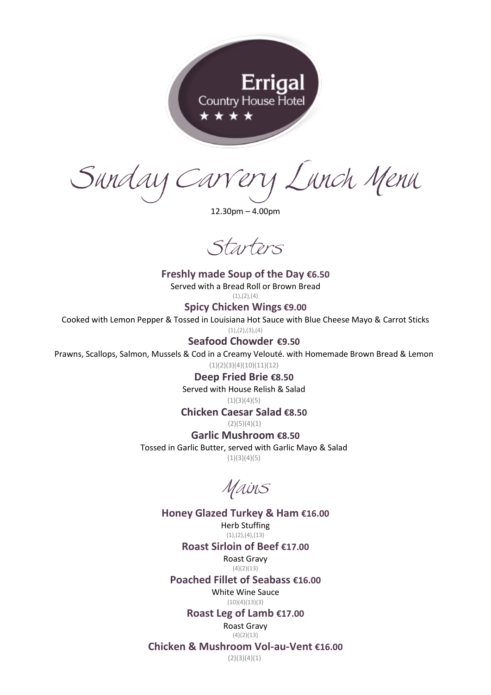

Sunday Carvery Lunch Menu

12.30pm – 4.00pm

Starters

**Freshly made Soup of the Day €6.50** Served with a Bread Roll or Brown Bread  $(1), (2), (4)$ **Spicy Chicken Wings €9.00** Cooked with Lemon Pepper & Tossed in Louisiana Hot Sauce with Blue Cheese Mayo & Carrot Sticks  $(1), (2), (3), (4)$ 

**Seafood Chowder €9.50**

Prawns, Scallops, Salmon, Mussels & Cod in a Creamy Velouté. with Homemade Brown Bread & Lemon

 $(1)(2)(3)(4)(10)(11)(12)$ 

**Deep Fried Brie €8.50**

Served with House Relish & Salad

 $(1)(3)(4)(5)$ **Chicken Caesar Salad €8.50**

 $(2)(5)(4)(1)$ 

**Garlic Mushroom €8.50**

Tossed in Garlic Butter, served with Garlic Mayo & Salad  $(1)(3)(4)(5)$ 

Mains

**Honey Glazed Turkey & Ham €16.00** Herb Stuffing  $(1), (2), (4), (13)$ 

**Roast Sirloin of Beef €17.00**

Roast Gravy  $(4)(2)(13)$ 

**Poached Fillet of Seabass €16.00**

White Wine Sauce  $(10)(4)(13)(3)$ 

**Roast Leg of Lamb €17.00**

Roast Gravy  $(4)(2)(13)$ 

**Chicken & Mushroom Vol-au-Vent €16.00**

 $(2)(3)(4)(1)$